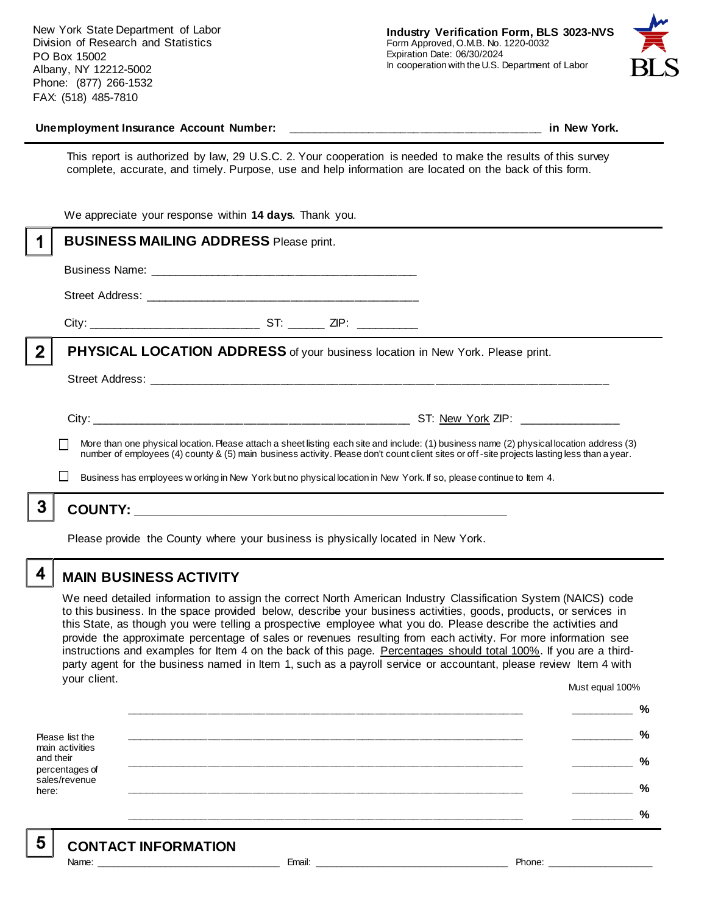New York State Department of Labor Division of Research and Statistics PO Box 15002 Albany, NY 12212-5002 Phone: (877) 266-1532 FAX: (518) 485-7810



#### **Unemployment Insurance Account Number: \_\_\_\_\_\_\_\_\_\_\_\_\_\_\_\_\_\_\_\_\_\_\_\_\_\_\_\_\_\_\_\_\_\_\_\_\_\_\_\_ in New York.**

This report is authorized by law, 29 U.S.C. 2. Your cooperation is needed to make the results of this survey complete, accurate, and timely. Purpose, use and help information are located on the back of this form.

|   | We appreciate your response within 14 days. Thank you.                                                                                                                                                                               |  |  |                                                                                                                                                                                                                                                                                          |  |
|---|--------------------------------------------------------------------------------------------------------------------------------------------------------------------------------------------------------------------------------------|--|--|------------------------------------------------------------------------------------------------------------------------------------------------------------------------------------------------------------------------------------------------------------------------------------------|--|
|   | <b>BUSINESS MAILING ADDRESS Please print.</b>                                                                                                                                                                                        |  |  |                                                                                                                                                                                                                                                                                          |  |
|   |                                                                                                                                                                                                                                      |  |  |                                                                                                                                                                                                                                                                                          |  |
|   |                                                                                                                                                                                                                                      |  |  |                                                                                                                                                                                                                                                                                          |  |
|   |                                                                                                                                                                                                                                      |  |  |                                                                                                                                                                                                                                                                                          |  |
| 2 | <b>PHYSICAL LOCATION ADDRESS</b> of your business location in New York. Please print.                                                                                                                                                |  |  |                                                                                                                                                                                                                                                                                          |  |
|   |                                                                                                                                                                                                                                      |  |  |                                                                                                                                                                                                                                                                                          |  |
|   |                                                                                                                                                                                                                                      |  |  | More than one physical location. Please attach a sheet listing each site and include: (1) business name (2) physical location address (3)<br>number of employees (4) county & (5) main business activity. Please don't count client sites or off-site projects lasting less than a year. |  |
|   | Business has employees w orking in New York but no physical location in New York. If so, please continue to Item 4.                                                                                                                  |  |  |                                                                                                                                                                                                                                                                                          |  |
|   |                                                                                                                                                                                                                                      |  |  |                                                                                                                                                                                                                                                                                          |  |
|   | <u>is a construction of the second contract of the second contract of the second contract of the second contract of the second contract of the second contract of the second contract of the second contract of the second contr</u> |  |  |                                                                                                                                                                                                                                                                                          |  |

Please provide the County where your business is physically located in New York.

4

### **MAIN BUSINESS ACTIVITY**

We need detailed information to assign the correct North American Industry Classification System (NAICS) code to this business. In the space provided below, describe your business activities, goods, products, or services in this State, as though you were telling a prospective employee what you do. Please describe the activities and provide the approximate percentage of sales or revenues resulting from each activity. For more information see instructions and examples for Item 4 on the back of this page. Percentages should total 100%. If you are a thirdparty agent for the business named in Item 1, such as a payroll service or accountant, please review Item 4 with your client. Must equal 100%

Please list the main activities and their percentages of sales/revenue here: **\_\_\_\_\_\_\_\_\_\_\_\_\_\_\_\_\_\_\_\_\_\_\_\_\_\_\_\_\_\_\_\_\_\_\_\_\_\_\_\_\_\_\_\_\_\_\_\_\_\_\_\_\_\_\_\_\_\_\_\_\_\_ \_\_\_\_\_\_\_\_\_\_ % \_\_\_\_\_\_\_\_\_\_\_\_\_\_\_\_\_\_\_\_\_\_\_\_\_\_\_\_\_\_\_\_\_\_\_\_\_\_\_\_\_\_\_\_\_\_\_\_\_\_\_\_\_\_\_\_\_\_\_\_\_\_ \_\_\_\_\_\_\_\_\_\_ % \_\_\_\_\_\_\_\_\_\_\_\_\_\_\_\_\_\_\_\_\_\_\_\_\_\_\_\_\_\_\_\_\_\_\_\_\_\_\_\_\_\_\_\_\_\_\_\_\_\_\_\_\_\_\_\_\_\_\_\_\_\_ \_\_\_\_\_\_\_\_\_\_ % \_\_\_\_\_\_\_\_\_\_\_\_\_\_\_\_\_\_\_\_\_\_\_\_\_\_\_\_\_\_\_\_\_\_\_\_\_\_\_\_\_\_\_\_\_\_\_\_\_\_\_\_\_\_\_\_\_\_\_\_\_\_ \_\_\_\_\_\_\_\_\_\_ % \_\_\_\_\_\_\_\_\_\_\_\_\_\_\_\_\_\_\_\_\_\_\_\_\_\_\_\_\_\_\_\_\_\_\_\_\_\_\_\_\_\_\_\_\_\_\_\_\_\_\_\_\_\_\_\_\_\_\_\_\_\_ \_\_\_\_\_\_\_\_\_\_ %**

| <b>CONTACT INFORMATION</b> |        |        |  |  |  |
|----------------------------|--------|--------|--|--|--|
| <b>Name</b>                | Email: | Phone: |  |  |  |

5